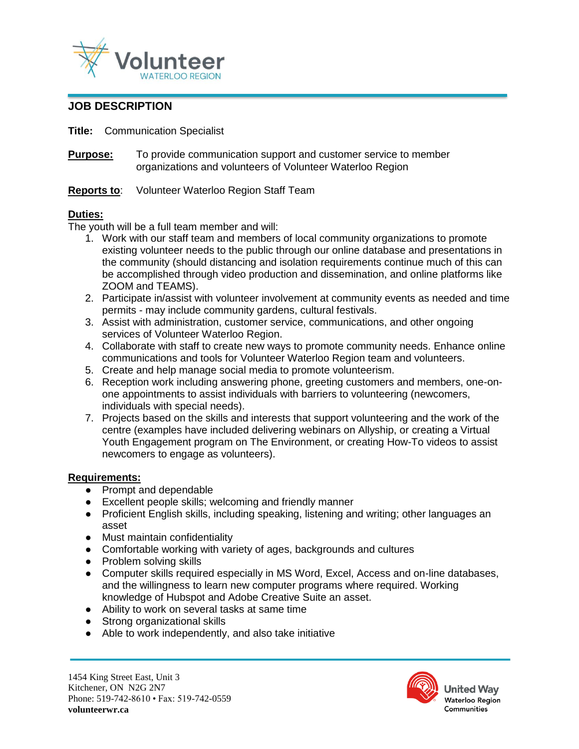

# **JOB DESCRIPTION**

**Title:** Communication Specialist

**Purpose:** To provide communication support and customer service to member organizations and volunteers of Volunteer Waterloo Region

## **Reports to**: Volunteer Waterloo Region Staff Team

## **Duties:**

The youth will be a full team member and will:

- 1. Work with our staff team and members of local community organizations to promote existing volunteer needs to the public through our online database and presentations in the community (should distancing and isolation requirements continue much of this can be accomplished through video production and dissemination, and online platforms like ZOOM and TEAMS).
- 2. Participate in/assist with volunteer involvement at community events as needed and time permits - may include community gardens, cultural festivals.
- 3. Assist with administration, customer service, communications, and other ongoing services of Volunteer Waterloo Region.
- 4. Collaborate with staff to create new ways to promote community needs. Enhance online communications and tools for Volunteer Waterloo Region team and volunteers.
- 5. Create and help manage social media to promote volunteerism.
- 6. Reception work including answering phone, greeting customers and members, one-onone appointments to assist individuals with barriers to volunteering (newcomers, individuals with special needs).
- 7. Projects based on the skills and interests that support volunteering and the work of the centre (examples have included delivering webinars on Allyship, or creating a Virtual Youth Engagement program on The Environment, or creating How-To videos to assist newcomers to engage as volunteers).

#### **Requirements:**

- Prompt and dependable
- Excellent people skills; welcoming and friendly manner
- Proficient English skills, including speaking, listening and writing; other languages an asset
- Must maintain confidentiality
- Comfortable working with variety of ages, backgrounds and cultures
- Problem solving skills
- Computer skills required especially in MS Word, Excel, Access and on-line databases, and the willingness to learn new computer programs where required. Working knowledge of Hubspot and Adobe Creative Suite an asset.
- Ability to work on several tasks at same time
- Strong organizational skills
- Able to work independently, and also take initiative